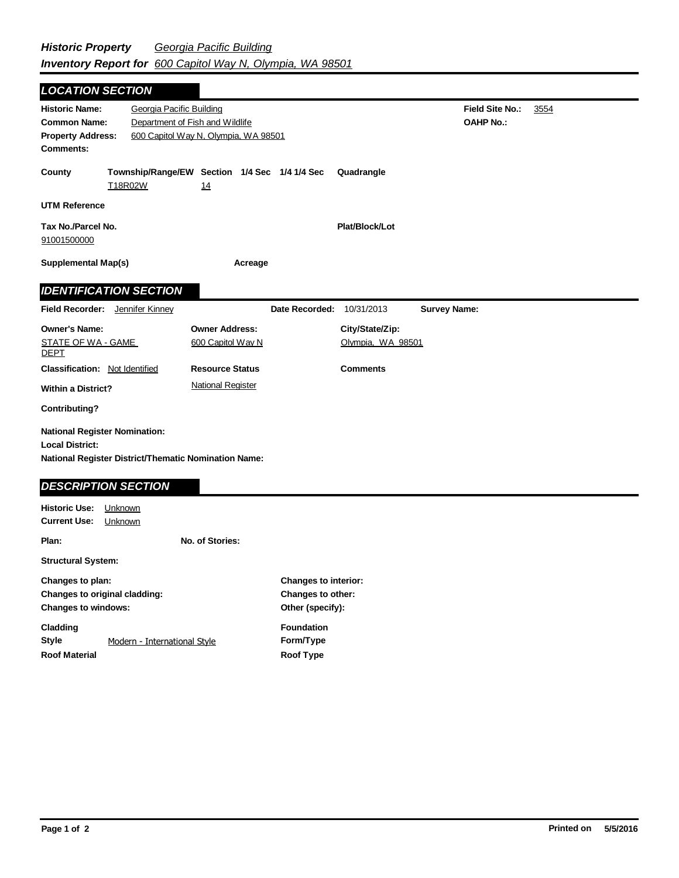| <b>LOCATION SECTION</b>                                                                                                                                                                             |                                                          |                                            |                                                    |                                                                      |                     |  |  |
|-----------------------------------------------------------------------------------------------------------------------------------------------------------------------------------------------------|----------------------------------------------------------|--------------------------------------------|----------------------------------------------------|----------------------------------------------------------------------|---------------------|--|--|
| Georgia Pacific Building<br><b>Historic Name:</b><br>Department of Fish and Wildlife<br><b>Common Name:</b><br><b>Property Address:</b><br>600 Capitol Way N, Olympia, WA 98501<br><b>Comments:</b> |                                                          |                                            |                                                    | Field Site No.:<br><b>OAHP No.:</b>                                  | 3554                |  |  |
| County                                                                                                                                                                                              | Township/Range/EW Section 1/4 Sec 1/4 1/4 Sec<br>T18R02W | 14                                         |                                                    | Quadrangle                                                           |                     |  |  |
| <b>UTM Reference</b>                                                                                                                                                                                |                                                          |                                            |                                                    |                                                                      |                     |  |  |
| Tax No./Parcel No.<br>91001500000                                                                                                                                                                   |                                                          |                                            |                                                    | Plat/Block/Lot                                                       |                     |  |  |
| <b>Supplemental Map(s)</b>                                                                                                                                                                          |                                                          | Acreage                                    |                                                    |                                                                      |                     |  |  |
|                                                                                                                                                                                                     | <b>IDENTIFICATION SECTION</b>                            |                                            |                                                    |                                                                      |                     |  |  |
|                                                                                                                                                                                                     | Field Recorder: Jennifer Kinney                          |                                            | Date Recorded: 10/31/2013                          |                                                                      | <b>Survey Name:</b> |  |  |
| <b>Owner's Name:</b><br><b>STATE OF WA - GAME</b><br><b>DEPT</b>                                                                                                                                    |                                                          | <b>Owner Address:</b><br>600 Capitol Way N |                                                    | City/State/Zip:<br>Olympia, WA 98501                                 |                     |  |  |
| <b>Classification: Not Identified</b>                                                                                                                                                               |                                                          | <b>Resource Status</b>                     |                                                    | <b>Comments</b>                                                      |                     |  |  |
| <b>Within a District?</b>                                                                                                                                                                           |                                                          | <b>National Register</b>                   |                                                    |                                                                      |                     |  |  |
| <b>Contributing?</b>                                                                                                                                                                                |                                                          |                                            |                                                    |                                                                      |                     |  |  |
| <b>National Register Nomination:</b><br><b>Local District:</b><br><b>National Register District/Thematic Nomination Name:</b>                                                                       |                                                          |                                            |                                                    |                                                                      |                     |  |  |
| <b>DESCRIPTION SECTION</b>                                                                                                                                                                          |                                                          |                                            |                                                    |                                                                      |                     |  |  |
| <b>Historic Use:</b><br><b>Current Use:</b>                                                                                                                                                         | Unknown<br>Unknown                                       |                                            |                                                    |                                                                      |                     |  |  |
| Plan:                                                                                                                                                                                               |                                                          | No. of Stories:                            |                                                    |                                                                      |                     |  |  |
| <b>Structural System:</b>                                                                                                                                                                           |                                                          |                                            |                                                    |                                                                      |                     |  |  |
| Changes to plan:<br>Changes to original cladding:<br><b>Changes to windows:</b>                                                                                                                     |                                                          |                                            |                                                    | <b>Changes to interior:</b><br>Changes to other:<br>Other (specify): |                     |  |  |
| Cladding<br><b>Style</b><br>Modern - International Style<br><b>Roof Material</b>                                                                                                                    |                                                          |                                            | <b>Foundation</b><br>Form/Type<br><b>Roof Type</b> |                                                                      |                     |  |  |